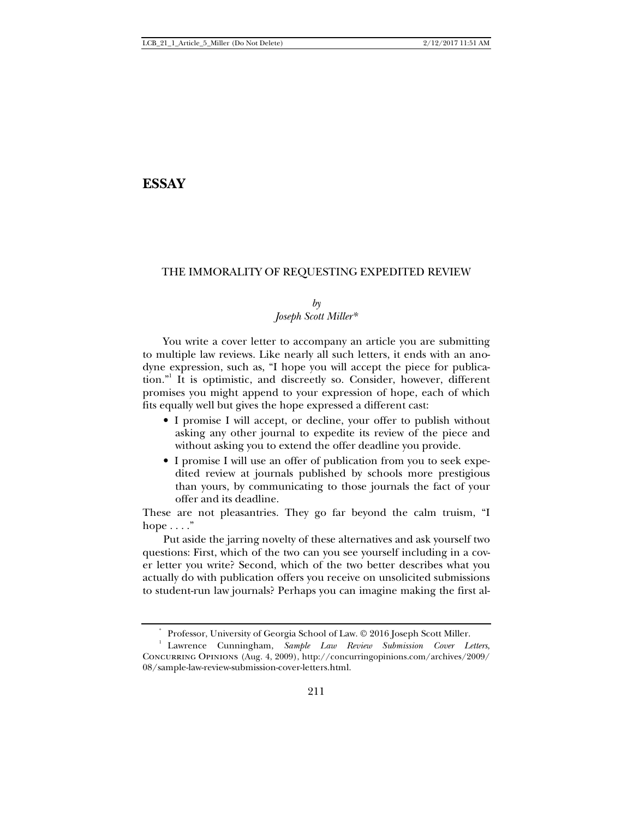# **ESSAY**

### THE IMMORALITY OF REQUESTING EXPEDITED REVIEW

### *by Joseph Scott Miller\**

You write a cover letter to accompany an article you are submitting to multiple law reviews. Like nearly all such letters, it ends with an anodyne expression, such as, "I hope you will accept the piece for publication."<sup>1</sup> It is optimistic, and discreetly so. Consider, however, different promises you might append to your expression of hope, each of which fits equally well but gives the hope expressed a different cast:

- I promise I will accept, or decline, your offer to publish without asking any other journal to expedite its review of the piece and without asking you to extend the offer deadline you provide.
- I promise I will use an offer of publication from you to seek expedited review at journals published by schools more prestigious than yours, by communicating to those journals the fact of your offer and its deadline.

These are not pleasantries. They go far beyond the calm truism, "I hope  $\dots$ ."

Put aside the jarring novelty of these alternatives and ask yourself two questions: First, which of the two can you see yourself including in a cover letter you write? Second, which of the two better describes what you actually do with publication offers you receive on unsolicited submissions to student-run law journals? Perhaps you can imagine making the first al-

<sup>\*</sup> Professor, University of Georgia School of Law. © 2016 Joseph Scott Miller.

<sup>1</sup> Lawrence Cunningham, *Sample Law Review Submission Cover Letters*, Concurring Opinions (Aug. 4, 2009), http://concurringopinions.com/archives/2009/ 08/sample-law-review-submission-cover-letters.html.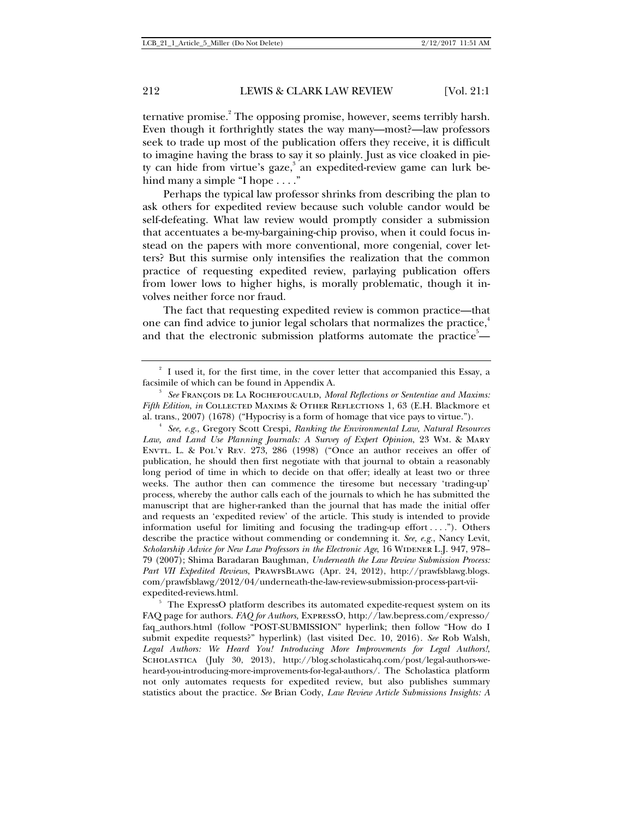## 212 LEWIS & CLARK LAW REVIEW [Vol. 21:1]

ternative promise.<sup>2</sup> The opposing promise, however, seems terribly harsh. Even though it forthrightly states the way many—most?—law professors seek to trade up most of the publication offers they receive, it is difficult to imagine having the brass to say it so plainly. Just as vice cloaked in piety can hide from virtue's gaze,<sup>3</sup> an expedited-review game can lurk behind many a simple "I hope . . . ."

Perhaps the typical law professor shrinks from describing the plan to ask others for expedited review because such voluble candor would be self-defeating. What law review would promptly consider a submission that accentuates a be-my-bargaining-chip proviso, when it could focus instead on the papers with more conventional, more congenial, cover letters? But this surmise only intensifies the realization that the common practice of requesting expedited review, parlaying publication offers from lower lows to higher highs, is morally problematic, though it involves neither force nor fraud.

The fact that requesting expedited review is common practice—that one can find advice to junior legal scholars that normalizes the practice,<sup>4</sup> and that the electronic submission platforms automate the practice $\sim$ 

4 *See, e.g.*, Gregory Scott Crespi, *Ranking the Environmental Law, Natural Resources Law, and Land Use Planning Journals: A Survey of Expert Opinion*, 23 Wm. & Mary Envtl. L. & Pol'y Rev. 273, 286 (1998) ("Once an author receives an offer of publication, he should then first negotiate with that journal to obtain a reasonably long period of time in which to decide on that offer; ideally at least two or three weeks. The author then can commence the tiresome but necessary 'trading-up' process, whereby the author calls each of the journals to which he has submitted the manuscript that are higher-ranked than the journal that has made the initial offer and requests an 'expedited review' of the article. This study is intended to provide information useful for limiting and focusing the trading-up effort . . . ."). Others describe the practice without commending or condemning it. *See, e.g.*, Nancy Levit, *Scholarship Advice for New Law Professors in the Electronic Age*, 16 Widener L.J. 947, 978– 79 (2007); Shima Baradaran Baughman, *Underneath the Law Review Submission Process: Part VII Expedited Reviews*, PrawfsBlawg (Apr. 24, 2012), http://prawfsblawg.blogs. com/prawfsblawg/2012/04/underneath-the-law-review-submission-process-part-viiexpedited-reviews.html.

<sup>5</sup> The ExpressO platform describes its automated expedite-request system on its FAQ page for authors. *FAQ for Authors,* ExpressO, http://law.bepress.com/expresso/ faq\_authors.html (follow "POST-SUBMISSION" hyperlink; then follow "How do I submit expedite requests?" hyperlink) (last visited Dec. 10, 2016). *See* Rob Walsh, *Legal Authors: We Heard You! Introducing More Improvements for Legal Authors!*, Scholastica (July 30, 2013), http://blog.scholasticahq.com/post/legal-authors-weheard-you-introducing-more-improvements-for-legal-authors/. The Scholastica platform not only automates requests for expedited review, but also publishes summary statistics about the practice. *See* Brian Cody, *Law Review Article Submissions Insights: A* 

<sup>&</sup>lt;sup>2</sup> I used it, for the first time, in the cover letter that accompanied this Essay, a facsimile of which can be found in Appendix A.

<sup>&</sup>lt;sup>3</sup> See FRANÇOIS DE LA ROCHEFOUCAULD, *Moral Reflections or Sententiae and Maxims: Fifth Edition*, *in* Collected Maxims & Other Reflections 1, 63 (E.H. Blackmore et al. trans., 2007) (1678) ("Hypocrisy is a form of homage that vice pays to virtue.").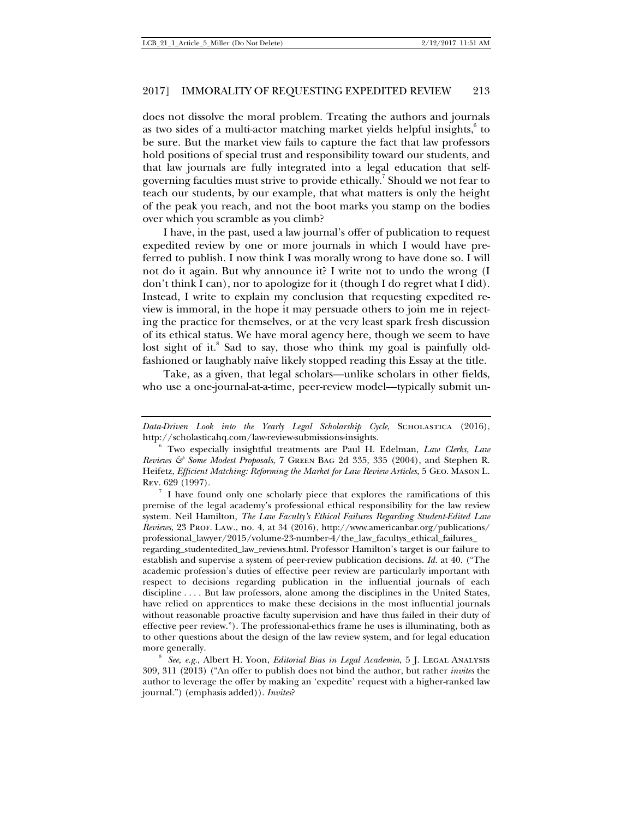### 2017] IMMORALITY OF REQUESTING EXPEDITED REVIEW 213

does not dissolve the moral problem. Treating the authors and journals as two sides of a multi-actor matching market yields helpful insights,<sup>6</sup> to be sure. But the market view fails to capture the fact that law professors hold positions of special trust and responsibility toward our students, and that law journals are fully integrated into a legal education that selfgoverning faculties must strive to provide ethically.<sup>7</sup> Should we not fear to teach our students, by our example, that what matters is only the height of the peak you reach, and not the boot marks you stamp on the bodies over which you scramble as you climb?

I have, in the past, used a law journal's offer of publication to request expedited review by one or more journals in which I would have preferred to publish. I now think I was morally wrong to have done so. I will not do it again. But why announce it? I write not to undo the wrong (I don't think I can), nor to apologize for it (though I do regret what I did). Instead, I write to explain my conclusion that requesting expedited review is immoral, in the hope it may persuade others to join me in rejecting the practice for themselves, or at the very least spark fresh discussion of its ethical status. We have moral agency here, though we seem to have lost sight of it.<sup>8</sup> Sad to say, those who think my goal is painfully oldfashioned or laughably naïve likely stopped reading this Essay at the title.

Take, as a given, that legal scholars—unlike scholars in other fields, who use a one-journal-at-a-time, peer-review model—typically submit un-

<sup>7</sup> I have found only one scholarly piece that explores the ramifications of this premise of the legal academy's professional ethical responsibility for the law review system. Neil Hamilton, *The Law Faculty's Ethical Failures Regarding Student-Edited Law Reviews*, 23 PROF. LAW., no. 4, at 34 (2016), http://www.americanbar.org/publications/ professional\_lawyer/2015/volume-23-number-4/the\_law\_facultys\_ethical\_failures\_ regarding\_studentedited\_law\_reviews.html. Professor Hamilton's target is our failure to establish and supervise a system of peer-review publication decisions. *Id.* at 40. ("The academic profession's duties of effective peer review are particularly important with respect to decisions regarding publication in the influential journals of each discipline . . . . But law professors, alone among the disciplines in the United States, have relied on apprentices to make these decisions in the most influential journals

without reasonable proactive faculty supervision and have thus failed in their duty of effective peer review."). The professional-ethics frame he uses is illuminating, both as to other questions about the design of the law review system, and for legal education more generally.

8 *See, e.g.*, Albert H. Yoon, *Editorial Bias in Legal Academia*, 5 J. Legal Analysis 309, 311 (2013) ("An offer to publish does not bind the author, but rather *invites* the author to leverage the offer by making an 'expedite' request with a higher-ranked law journal.") (emphasis added)). *Invites*?

*Data-Driven Look into the Yearly Legal Scholarship Cycle*, Scholastica (2016), http://scholasticahq.com/law-review-submissions-insights.

<sup>6</sup> Two especially insightful treatments are Paul H. Edelman, *Law Clerks, Law Reviews & Some Modest Proposals*, 7 Green Bag 2d 335, 335 (2004), and Stephen R. Heifetz, *Efficient Matching: Reforming the Market for Law Review Articles*, 5 Geo. Mason L. Rev. 629 (1997).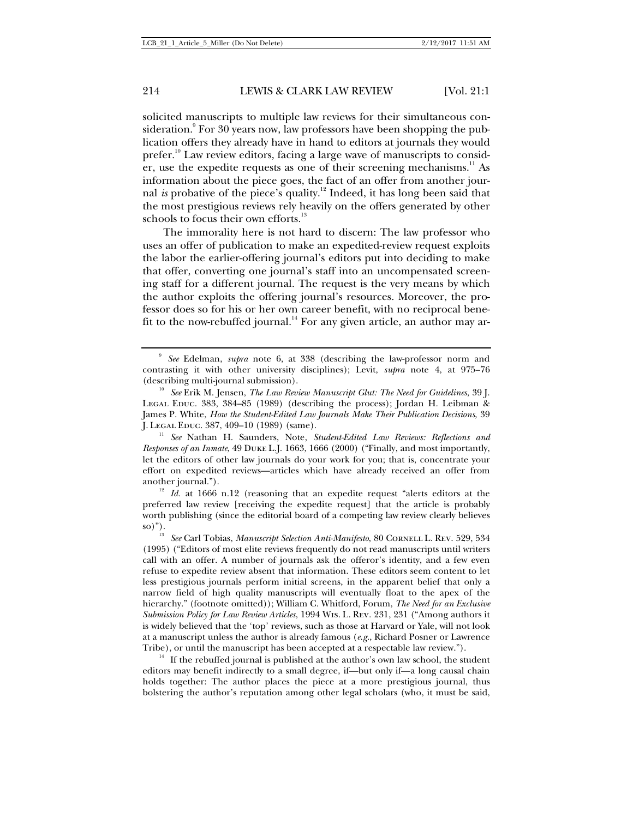## 214 LEWIS & CLARK LAW REVIEW [Vol. 21:1]

solicited manuscripts to multiple law reviews for their simultaneous con- $\mathrm{s}$ ideration. $\mathrm{^9}$  For  $30$  years now, law professors have been shopping the publication offers they already have in hand to editors at journals they would prefer.<sup>10</sup> Law review editors, facing a large wave of manuscripts to consider, use the expedite requests as one of their screening mechanisms.<sup>11</sup> As information about the piece goes, the fact of an offer from another journal *is* probative of the piece's quality.<sup>12</sup> Indeed, it has long been said that the most prestigious reviews rely heavily on the offers generated by other schools to focus their own efforts.<sup>13</sup>

The immorality here is not hard to discern: The law professor who uses an offer of publication to make an expedited-review request exploits the labor the earlier-offering journal's editors put into deciding to make that offer, converting one journal's staff into an uncompensated screening staff for a different journal. The request is the very means by which the author exploits the offering journal's resources. Moreover, the professor does so for his or her own career benefit, with no reciprocal benefit to the now-rebuffed journal.<sup>14</sup> For any given article, an author may ar-

<sup>11</sup> *See* Nathan H. Saunders, Note, *Student-Edited Law Reviews: Reflections and Responses of an Inmate*, 49 Duke L.J. 1663, 1666 (2000) ("Finally, and most importantly, let the editors of other law journals do your work for you; that is, concentrate your effort on expedited reviews—articles which have already received an offer from another journal.").

<sup>12</sup> *Id.* at 1666 n.12 (reasoning that an expedite request "alerts editors at the preferred law review [receiving the expedite request] that the article is probably worth publishing (since the editorial board of a competing law review clearly believes  $\frac{W}{SO}$   $\binom{80}{13}$ 

<sup>13</sup> *See* Carl Tobias, *Manuscript Selection Anti-Manifesto*, 80 Cornell L. Rev. 529, 534 (1995) ("Editors of most elite reviews frequently do not read manuscripts until writers call with an offer. A number of journals ask the offeror's identity, and a few even refuse to expedite review absent that information. These editors seem content to let less prestigious journals perform initial screens, in the apparent belief that only a narrow field of high quality manuscripts will eventually float to the apex of the hierarchy." (footnote omitted)); William C. Whitford, Forum, *The Need for an Exclusive Submission Policy for Law Review Articles*, 1994 Wis. L. Rev. 231, 231 ("Among authors it is widely believed that the 'top' reviews, such as those at Harvard or Yale, will not look at a manuscript unless the author is already famous (*e.g.*, Richard Posner or Lawrence Tribe), or until the manuscript has been accepted at a respectable law review.").

 $14$  If the rebuffed journal is published at the author's own law school, the student editors may benefit indirectly to a small degree, if—but only if—a long causal chain holds together: The author places the piece at a more prestigious journal, thus bolstering the author's reputation among other legal scholars (who, it must be said,

<sup>9</sup> *See* Edelman, *supra* note 6, at 338 (describing the law-professor norm and contrasting it with other university disciplines); Levit, *supra* note 4, at 975–76 (describing multi-journal submission).

<sup>10</sup> *See* Erik M. Jensen, *The Law Review Manuscript Glut: The Need for Guidelines*, 39 J. LEGAL EDUC. 383, 384-85 (1989) (describing the process); Jordan H. Leibman & James P. White, *How the Student-Edited Law Journals Make Their Publication Decisions*, 39 J. Legal Educ. 387, 409–10 (1989) (same).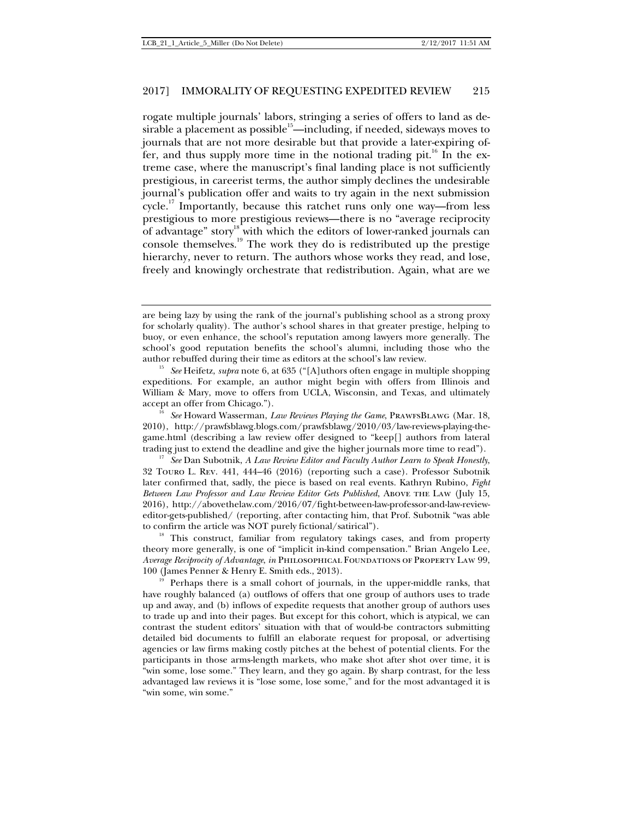### 2017] IMMORALITY OF REQUESTING EXPEDITED REVIEW 215

rogate multiple journals' labors, stringing a series of offers to land as desirable a placement as possible<sup>15</sup>—including, if needed, sideways moves to journals that are not more desirable but that provide a later-expiring offer, and thus supply more time in the notional trading pit.<sup>16</sup> In the extreme case, where the manuscript's final landing place is not sufficiently prestigious, in careerist terms, the author simply declines the undesirable journal's publication offer and waits to try again in the next submission cycle.<sup>17</sup> Importantly, because this ratchet runs only one way—from less prestigious to more prestigious reviews—there is no "average reciprocity of advantage" story<sup>18</sup> with which the editors of lower-ranked journals can console themselves.<sup>19</sup> The work they do is redistributed up the prestige hierarchy, never to return. The authors whose works they read, and lose, freely and knowingly orchestrate that redistribution. Again, what are we

<sup>18</sup> This construct, familiar from regulatory takings cases, and from property theory more generally, is one of "implicit in-kind compensation." Brian Angelo Lee, *Average Reciprocity of Advantage*, *in* Philosophical Foundations of Property Law 99, 100 (James Penner & Henry E. Smith eds., 2013).

<sup>19</sup> Perhaps there is a small cohort of journals, in the upper-middle ranks, that have roughly balanced (a) outflows of offers that one group of authors uses to trade up and away, and (b) inflows of expedite requests that another group of authors uses to trade up and into their pages. But except for this cohort, which is atypical, we can contrast the student editors' situation with that of would-be contractors submitting detailed bid documents to fulfill an elaborate request for proposal, or advertising agencies or law firms making costly pitches at the behest of potential clients. For the participants in those arms-length markets, who make shot after shot over time, it is "win some, lose some." They learn, and they go again. By sharp contrast, for the less advantaged law reviews it is "lose some, lose some," and for the most advantaged it is "win some, win some."

are being lazy by using the rank of the journal's publishing school as a strong proxy for scholarly quality). The author's school shares in that greater prestige, helping to buoy, or even enhance, the school's reputation among lawyers more generally. The school's good reputation benefits the school's alumni, including those who the author rebuffed during their time as editors at the school's law review.

<sup>15</sup> *See* Heifetz, *supra* note 6, at 635 ("[A]uthors often engage in multiple shopping expeditions. For example, an author might begin with offers from Illinois and William & Mary, move to offers from UCLA, Wisconsin, and Texas, and ultimately accept an offer from Chicago.").

<sup>16</sup> *See* Howard Wasserman, *Law Reviews Playing the Game*, PrawfsBlawg (Mar. 18, 2010), http://prawfsblawg.blogs.com/prawfsblawg/2010/03/law-reviews-playing-thegame.html (describing a law review offer designed to "keep[] authors from lateral trading just to extend the deadline and give the higher journals more time to read").

<sup>&</sup>lt;sup>17</sup> *See* Dan Subotnik, *A Law Review Editor and Faculty Author Learn to Speak Honestly,* 32 Touro L. Rev. 441, 444–46 (2016) (reporting such a case). Professor Subotnik later confirmed that, sadly, the piece is based on real events. Kathryn Rubino, *Fight Between Law Professor and Law Review Editor Gets Published*, Above the Law (July 15, 2016), http://abovethelaw.com/2016/07/fight-between-law-professor-and-law-revieweditor-gets-published/ (reporting, after contacting him, that Prof. Subotnik "was able to confirm the article was NOT purely fictional/satirical").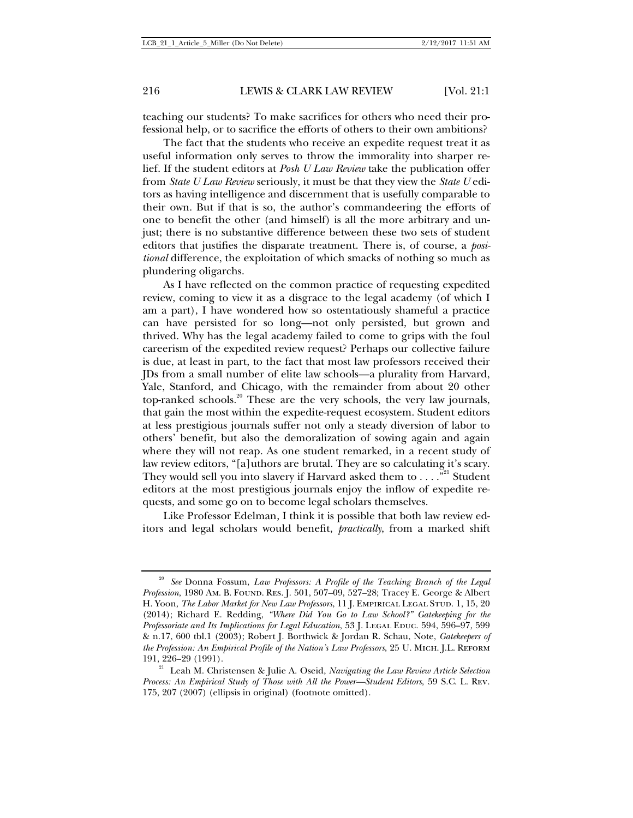### 216 LEWIS & CLARK LAW REVIEW [Vol. 21:1]

teaching our students? To make sacrifices for others who need their professional help, or to sacrifice the efforts of others to their own ambitions?

The fact that the students who receive an expedite request treat it as useful information only serves to throw the immorality into sharper relief. If the student editors at *Posh U Law Review* take the publication offer from *State U Law Review* seriously, it must be that they view the *State U* editors as having intelligence and discernment that is usefully comparable to their own. But if that is so, the author's commandeering the efforts of one to benefit the other (and himself) is all the more arbitrary and unjust; there is no substantive difference between these two sets of student editors that justifies the disparate treatment. There is, of course, a *positional* difference, the exploitation of which smacks of nothing so much as plundering oligarchs.

As I have reflected on the common practice of requesting expedited review, coming to view it as a disgrace to the legal academy (of which I am a part), I have wondered how so ostentatiously shameful a practice can have persisted for so long—not only persisted, but grown and thrived. Why has the legal academy failed to come to grips with the foul careerism of the expedited review request? Perhaps our collective failure is due, at least in part, to the fact that most law professors received their JDs from a small number of elite law schools—a plurality from Harvard, Yale, Stanford, and Chicago, with the remainder from about 20 other top-ranked schools.<sup>20</sup> These are the very schools, the very law journals, that gain the most within the expedite-request ecosystem. Student editors at less prestigious journals suffer not only a steady diversion of labor to others' benefit, but also the demoralization of sowing again and again where they will not reap. As one student remarked, in a recent study of law review editors, "[a]uthors are brutal. They are so calculating it's scary. They would sell you into slavery if Harvard asked them to  $\dots$ ."<sup>21</sup> Student editors at the most prestigious journals enjoy the inflow of expedite requests, and some go on to become legal scholars themselves.

Like Professor Edelman, I think it is possible that both law review editors and legal scholars would benefit, *practically*, from a marked shift

<sup>&</sup>lt;sup>20</sup> See Donna Fossum, *Law Professors: A Profile of the Teaching Branch of the Legal Profession*, 1980 Am. B. Found. Res. J. 501, 507–09, 527–28; Tracey E. George & Albert H. Yoon, *The Labor Market for New Law Professors*, 11 J. EMPIRICAL LEGAL STUD. 1, 15, 20 (2014); Richard E. Redding, *"Where Did You Go to Law School?" Gatekeeping for the Professoriate and Its Implications for Legal Education*, 53 J. Legal Educ. 594, 596–97, 599 & n.17, 600 tbl.1 (2003); Robert J. Borthwick & Jordan R. Schau, Note, *Gatekeepers of the Profession: An Empirical Profile of the Nation's Law Professors*, 25 U. Mich. J.L. Reform 191, 226–29 (1991).

<sup>21</sup> Leah M. Christensen & Julie A. Oseid, *Navigating the Law Review Article Selection Process: An Empirical Study of Those with All the Power—Student Editors*, 59 S.C. L. Rev. 175, 207 (2007) (ellipsis in original) (footnote omitted).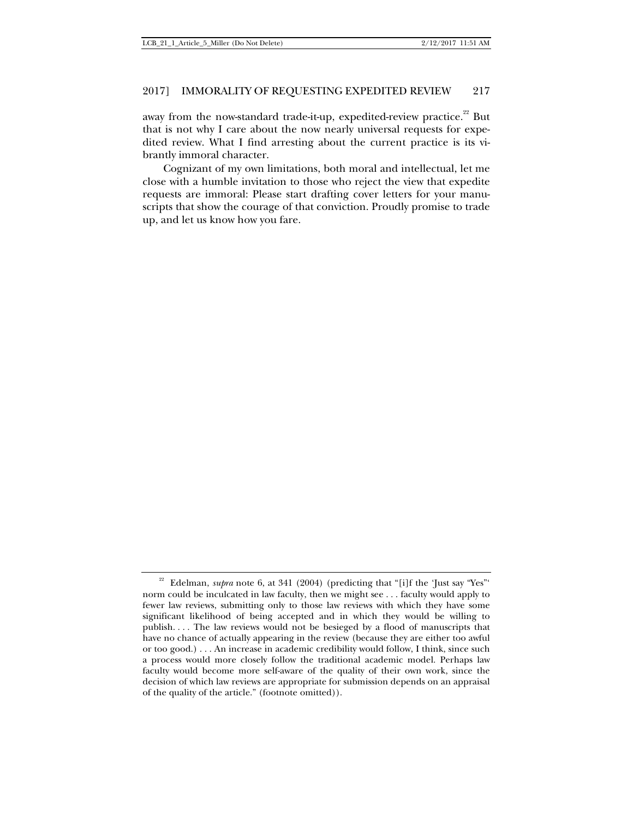### 2017] IMMORALITY OF REQUESTING EXPEDITED REVIEW 217

away from the now-standard trade-it-up, expedited-review practice.<sup>22</sup> But that is not why I care about the now nearly universal requests for expedited review. What I find arresting about the current practice is its vibrantly immoral character.

Cognizant of my own limitations, both moral and intellectual, let me close with a humble invitation to those who reject the view that expedite requests are immoral: Please start drafting cover letters for your manuscripts that show the courage of that conviction. Proudly promise to trade up, and let us know how you fare.

<sup>&</sup>lt;sup>22</sup> Edelman, *supra* note 6, at 341 (2004) (predicting that "[i]f the 'Just say "Yes"' norm could be inculcated in law faculty, then we might see . . . faculty would apply to fewer law reviews, submitting only to those law reviews with which they have some significant likelihood of being accepted and in which they would be willing to publish. . . . The law reviews would not be besieged by a flood of manuscripts that have no chance of actually appearing in the review (because they are either too awful or too good.) . . . An increase in academic credibility would follow, I think, since such a process would more closely follow the traditional academic model. Perhaps law faculty would become more self-aware of the quality of their own work, since the decision of which law reviews are appropriate for submission depends on an appraisal of the quality of the article." (footnote omitted)).